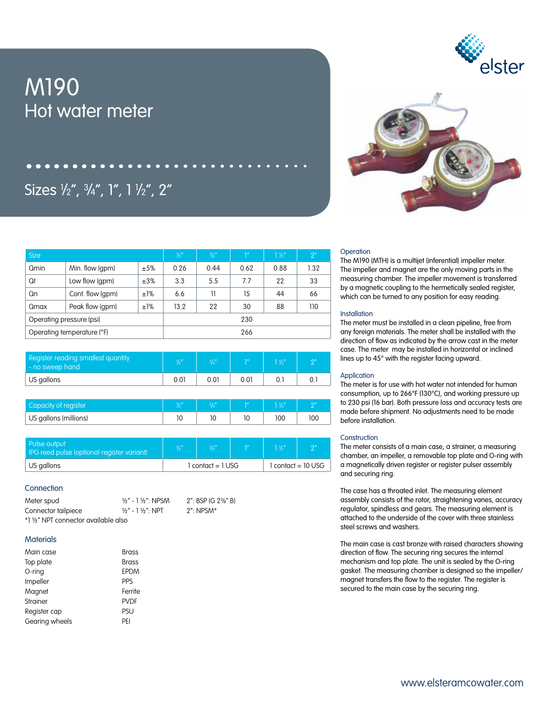# M190 Hot water meter





# Sizes ½", ¾", 1", 1 ½", 2″

| <b>Size</b>                |                  | $\frac{1}{2}$ | $\frac{3}{4}$ | 1 <sup>n</sup> | $1\frac{1}{2}$ | 2 <sup>''</sup> |      |  |
|----------------------------|------------------|---------------|---------------|----------------|----------------|-----------------|------|--|
| Qmin                       | Min. flow (gpm)  | ±5%           | 0.26          | 0.44           | 0.62           | 0.88            | 1.32 |  |
| Qt                         | Low flow (gpm)   | ±3%           | 3.3           | 5.5            | 7.7            | 22              | 33   |  |
| Qn                         | Cont. flow (qpm) | ±1%           | 6.6           | 11             | 15             | 44              | 66   |  |
| Qmax                       | Peak flow (gpm)  | ±1%           | 13.2          | 22             | 30             | 88              | 110  |  |
| Operating pressure (psi)   |                  |               | 230           |                |                |                 |      |  |
| Operating temperature (°F) |                  |               | 266           |                |                |                 |      |  |

| Register reading smallest quantity<br>no sweep hand | 11 <sub>II</sub> | $31.$ " | י הרא | $1\frac{1}{2}$ | $\Omega$ |
|-----------------------------------------------------|------------------|---------|-------|----------------|----------|
| US gallons                                          | 0.01             | 0.01    | 0.01  |                |          |

| Capacity of register  | $\overline{1}$ | 0.1h |     |    |
|-----------------------|----------------|------|-----|----|
| US gallons (millions) |                |      | 100 | 00 |

| Pulse output<br>IPG reed pulse (optional register variant) |                   |  | $1\frac{1}{2}$         | $\bigcap$ |
|------------------------------------------------------------|-------------------|--|------------------------|-----------|
| US gallons                                                 | l contact = 1 USG |  | $1$ contact = $10$ USG |           |

# **Connection**

| Meter spud                           | $\frac{1}{2}$ " - 1 $\frac{1}{2}$ ": NPSM | 2": BSP IG 2 <sup>3</sup> / <sub>8</sub> " BI |
|--------------------------------------|-------------------------------------------|-----------------------------------------------|
| Connector tailpiece                  | $\frac{1}{2}$ " - 1 $\frac{1}{2}$ ": NPT  | $2$ ": NPSM*                                  |
| *1 1/2" NPT connector available also |                                           |                                               |

# **Materials**

| <b>Brass</b> |
|--------------|
| Brass        |
| <b>EPDM</b>  |
| <b>PPS</b>   |
| Ferrite      |
| <b>PVDF</b>  |
| PSU          |
| PFI          |
|              |

## **Operation**

The M190 (MTH) is a multijet (inferential) impeller meter. The impeller and magnet are the only moving parts in the measuring chamber. The impeller movement is transferred by a magnetic coupling to the hermetically sealed register, which can be turned to any position for easy reading.

#### **Installation**

The meter must be installed in a clean pipeline, free from any foreign materials. The meter shall be installed with the direction of flow as indicated by the arrow cast in the meter case. The meter may be installed in horizontal or inclined lines up to 45° with the register facing upward.

### **Application**

The meter is for use with hot water not intended for human consumption, up to 266°F (130°C), and working pressure up to 230 psi (16 bar). Both pressure loss and accuracy tests are made before shipment. No adjustments need to be made before installation.

#### **Construction**

The meter consists of a main case, a strainer, a measuring chamber, an impeller, a removable top plate and O-ring with a magnetically driven register or register pulser assembly and securing ring.

The case has a throated inlet. The measuring element assembly consists of the rotor, straightening vanes, accuracy regulator, spindless and gears. The measuring element is attached to the underside of the cover with three stainless steel screws and washers.

The main case is cast bronze with raised characters showing direction of flow. The securing ring secures the internal mechanism and top plate. The unit is sealed by the O-ring gasket. The measuring chamber is designed so the impeller/ magnet transfers the flow to the register. The register is secured to the main case by the securing ring.